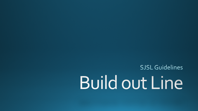SJSL Guidelines

## **Build out Line**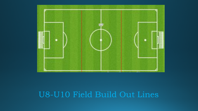

## U8-U10 Field Build Out Lines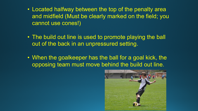- Located halfway between the top of the penalty area and midfield (Must be clearly marked on the field; you cannot use cones!)
- The build out line is used to promote playing the ball out of the back in an unpressured setting.
- When the goalkeeper has the ball for a goal kick, the opposing team must move behind the build out line.

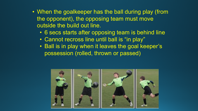- When the goalkeeper has the ball during play (from the opponent), the opposing team must move outside the build out line.
	- 6 secs starts after opposing team is behind line
	- Cannot recross line until ball is "in play"
	- Ball is in play when it leaves the goal keeper's possession (rolled, thrown or passed)

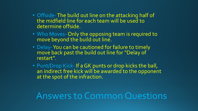- Offside-The build out line on the attacking half of the midfield line for each team will be used to determine offside.
- Who Moves- Only the opposing team is required to move beyond the build out line.
- Delay-You can be cautioned for failure to timely move back past the build out line for "Delay of restart".
- Punt/Drop Kick- If a GK punts or drop kicks the ball, an indirect free kick will be awarded to the opponent at the spot of the infraction.

## Answers to Common Questions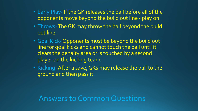- Early Play- If the GK releases the ball before all of the opponents move beyond the build out line - play on.
- Throws-The GK may throw the ball beyond the build out line.
- Goal Kick- Opponents must be beyond the build out line for goal kicks and cannot touch the ball until it clears the penalty area or is touched by a second player on the kicking team.
- Kicking-After a save, GKs may release the ball to the ground and then pass it.

Answers to Common Questions